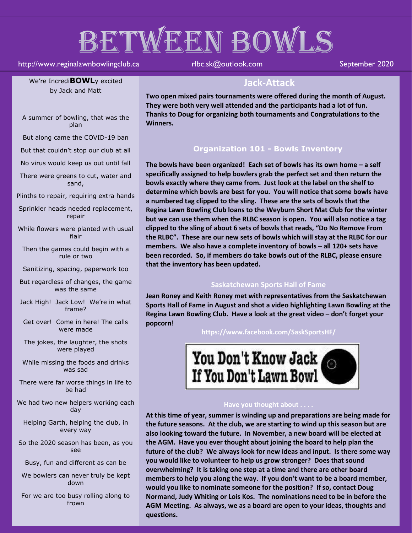# BETWEEN BOWLS

#### http://www.reginalawnbowlingclub.ca rlbc.sk@outlook.com September 2020

We're Incredi**BOWL**y excited by Jack and Matt

A summer of bowling, that was the plan

But along came the COVID-19 ban

But that couldn't stop our club at all

No virus would keep us out until fall

There were greens to cut, water and sand,

Plinths to repair, requiring extra hands

Sprinkler heads needed replacement, repair

While flowers were planted with usual flair

Then the games could begin with a rule or two

Sanitizing, spacing, paperwork too

But regardless of changes, the game was the same

Jack High! Jack Low! We're in what frame?

Get over! Come in here! The calls were made

The jokes, the laughter, the shots were played

While missing the foods and drinks was sad

There were far worse things in life to be had

We had two new helpers working each day

Helping Garth, helping the club, in every way

So the 2020 season has been, as you see

Busy, fun and different as can be

We bowlers can never truly be kept down

For we are too busy rolling along to frown

### **Jack-Attack**

**Two open mixed pairs tournaments were offered during the month of August. They were both very well attended and the participants had a lot of fun. Thanks to Doug for organizing both tournaments and Congratulations to the Winners.**

#### **Organization 101 - Bowls Inventory**

**The bowls have been organized! Each set of bowls has its own home – a self specifically assigned to help bowlers grab the perfect set and then return the bowls exactly where they came from. Just look at the label on the shelf to determine which bowls are best for you. You will notice that some bowls have a numbered tag clipped to the sling. These are the sets of bowls that the Regina Lawn Bowling Club loans to the Weyburn Short Mat Club for the winter but we can use them when the RLBC season is open. You will also notice a tag clipped to the sling of about 6 sets of bowls that reads, "Do No Remove From the RLBC". These are our new sets of bowls which will stay at the RLBC for our members. We also have a complete inventory of bowls – all 120+ sets have been recorded. So, if members do take bowls out of the RLBC, please ensure that the inventory has been updated.** 

#### **Saskatchewan Sports Hall of Fame**

**Jean Roney and Keith Roney met with representatives from the Saskatchewan Sports Hall of Fame in August and shot a video highlighting Lawn Bowling at the**  Regina Lawn Bowling Club. Have a look at the great video - don't forget your **popcorn!**

**https://www.facebook.com/SaskSportsHF/**



#### **Have you thought about . . . .**

**At this time of year, summer is winding up and preparations are being made for the future seasons. At the club, we are starting to wind up this season but are also looking toward the future. In November, a new board will be elected at the AGM. Have you ever thought about joining the board to help plan the future of the club? We always look for new ideas and input. Is there some way you would like to volunteer to help us grow stronger? Does that sound overwhelming? It is taking one step at a time and there are other board members to help you along the way. If you don't want to be a board member, would you like to nominate someone for the position? If so, contact Doug Normand, Judy Whiting or Lois Kos. The nominations need to be in before the AGM Meeting. As always, we as a board are open to your ideas, thoughts and questions.**